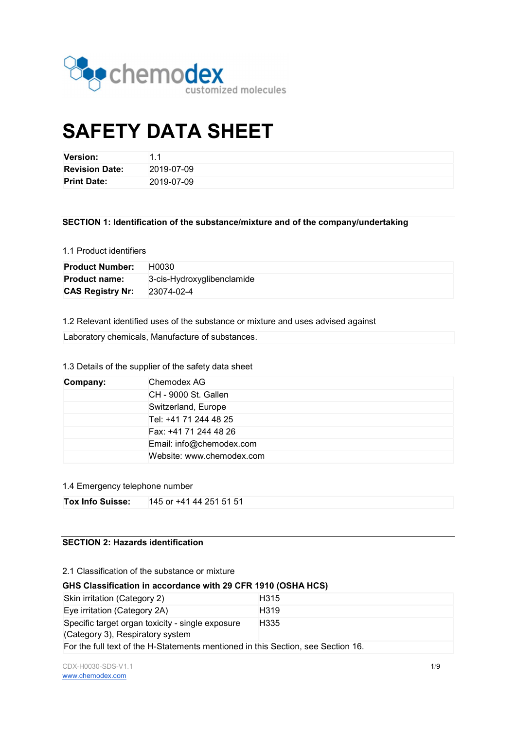

# SAFETY DATA SHEET

| <b>Version:</b>       | - 1        |
|-----------------------|------------|
| <b>Revision Date:</b> | 2019-07-09 |
| <b>Print Date:</b>    | 2019-07-09 |

#### SECTION 1: Identification of the substance/mixture and of the company/undertaking

#### 1.1 Product identifiers

| <b>Product Number:</b>  | H0030                      |
|-------------------------|----------------------------|
| <b>Product name:</b>    | 3-cis-Hydroxyglibenclamide |
| <b>CAS Registry Nr:</b> | 23074-02-4                 |

1.2 Relevant identified uses of the substance or mixture and uses advised against

# 1.3 Details of the supplier of the safety data sheet

| Company:              | Chemodex AG               |  |  |
|-----------------------|---------------------------|--|--|
|                       | CH - 9000 St. Gallen      |  |  |
| Switzerland, Europe   |                           |  |  |
|                       | Tel: +41 71 244 48 25     |  |  |
| Fax: +41 71 244 48 26 |                           |  |  |
|                       | Email: info@chemodex.com  |  |  |
|                       | Website: www.chemodex.com |  |  |

#### 1.4 Emergency telephone number

# SECTION 2: Hazards identification

#### 2.1 Classification of the substance or mixture

#### GHS Classification in accordance with 29 CFR 1910 (OSHA HCS)

| Skin irritation (Category 2)                                                         | H <sub>315</sub> |  |
|--------------------------------------------------------------------------------------|------------------|--|
| Eye irritation (Category 2A)                                                         | H <sub>319</sub> |  |
| Specific target organ toxicity - single exposure<br>(Category 3), Respiratory system | H335             |  |
| For the full text of the H-Statements mentioned in this Section, see Section 16.     |                  |  |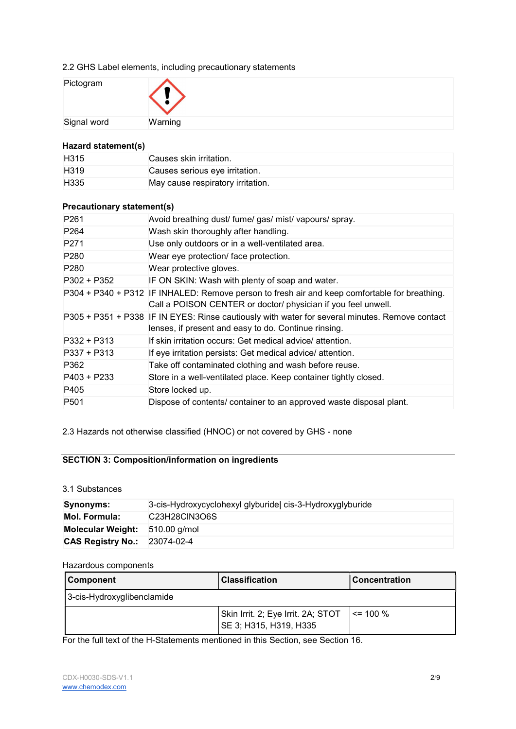# 2.2 GHS Label elements, including precautionary statements

| Pictogram   | $\mathbf{I}$ |
|-------------|--------------|
| Signal word | Warning      |

#### Hazard statement(s)

| H <sub>315</sub> | Causes skin irritation.           |
|------------------|-----------------------------------|
| H <sub>319</sub> | Causes serious eye irritation.    |
| H <sub>335</sub> | May cause respiratory irritation. |

# Precautionary statement(s)

| P <sub>261</sub> | Avoid breathing dust/ fume/ gas/ mist/ vapours/ spray.                                                                                                         |
|------------------|----------------------------------------------------------------------------------------------------------------------------------------------------------------|
| P <sub>264</sub> | Wash skin thoroughly after handling.                                                                                                                           |
| P <sub>271</sub> | Use only outdoors or in a well-ventilated area.                                                                                                                |
| P <sub>280</sub> | Wear eye protection/ face protection.                                                                                                                          |
| P <sub>280</sub> | Wear protective gloves.                                                                                                                                        |
| $P302 + P352$    | IF ON SKIN: Wash with plenty of soap and water.                                                                                                                |
|                  | P304 + P340 + P312 IF INHALED: Remove person to fresh air and keep comfortable for breathing.<br>Call a POISON CENTER or doctor/ physician if you feel unwell. |
|                  | P305 + P351 + P338 IF IN EYES: Rinse cautiously with water for several minutes. Remove contact<br>lenses, if present and easy to do. Continue rinsing.         |
| $P332 + P313$    | If skin irritation occurs: Get medical advice/attention.                                                                                                       |
| $P337 + P313$    | If eye irritation persists: Get medical advice/ attention.                                                                                                     |
| P362             | Take off contaminated clothing and wash before reuse.                                                                                                          |
| P403 + P233      | Store in a well-ventilated place. Keep container tightly closed.                                                                                               |
| P405             | Store locked up.                                                                                                                                               |
| P <sub>501</sub> | Dispose of contents/ container to an approved waste disposal plant.                                                                                            |

2.3 Hazards not otherwise classified (HNOC) or not covered by GHS - none

# SECTION 3: Composition/information on ingredients

# 3.1 Substances

| Synonyms:                           | 3-cis-Hydroxycyclohexyl glyburide   cis-3-Hydroxyglyburide        |  |  |
|-------------------------------------|-------------------------------------------------------------------|--|--|
| <b>Mol. Formula:</b>                | C <sub>23</sub> H <sub>28</sub> ClN <sub>3</sub> O <sub>6</sub> S |  |  |
| Molecular Weight: 510.00 g/mol      |                                                                   |  |  |
| <b>CAS Registry No.: 23074-02-4</b> |                                                                   |  |  |

#### Hazardous components

| <b>Component</b>           | l Classification                                             | Concentration |
|----------------------------|--------------------------------------------------------------|---------------|
| 3-cis-Hydroxyglibenclamide |                                                              |               |
|                            | Skin Irrit. 2; Eye Irrit. 2A; STOT<br>SE 3; H315, H319, H335 | $\le$ = 100 % |

For the full text of the H-Statements mentioned in this Section, see Section 16.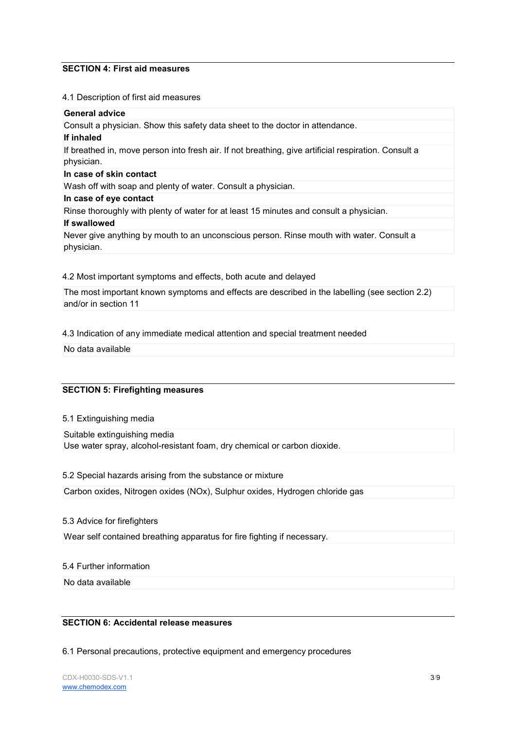#### SECTION 4: First aid measures

#### 4.1 Description of first aid measures

#### General advice

Consult a physician. Show this safety data sheet to the doctor in attendance.

#### If inhaled

If breathed in, move person into fresh air. If not breathing, give artificial respiration. Consult a physician.

#### In case of skin contact

Wash off with soap and plenty of water. Consult a physician.

#### In case of eye contact

Rinse thoroughly with plenty of water for at least 15 minutes and consult a physician. If swallowed

Never give anything by mouth to an unconscious person. Rinse mouth with water. Consult a physician.

#### 4.2 Most important symptoms and effects, both acute and delayed

The most important known symptoms and effects are described in the labelling (see section 2.2) and/or in section 11

#### 4.3 Indication of any immediate medical attention and special treatment needed

No data available

# SECTION 5: Firefighting measures

5.1 Extinguishing media

Suitable extinguishing media Use water spray, alcohol-resistant foam, dry chemical or carbon dioxide.

5.2 Special hazards arising from the substance or mixture

Carbon oxides, Nitrogen oxides (NOx), Sulphur oxides, Hydrogen chloride gas

# 5.3 Advice for firefighters

Wear self contained breathing apparatus for fire fighting if necessary.

#### 5.4 Further information

No data available

# SECTION 6: Accidental release measures

6.1 Personal precautions, protective equipment and emergency procedures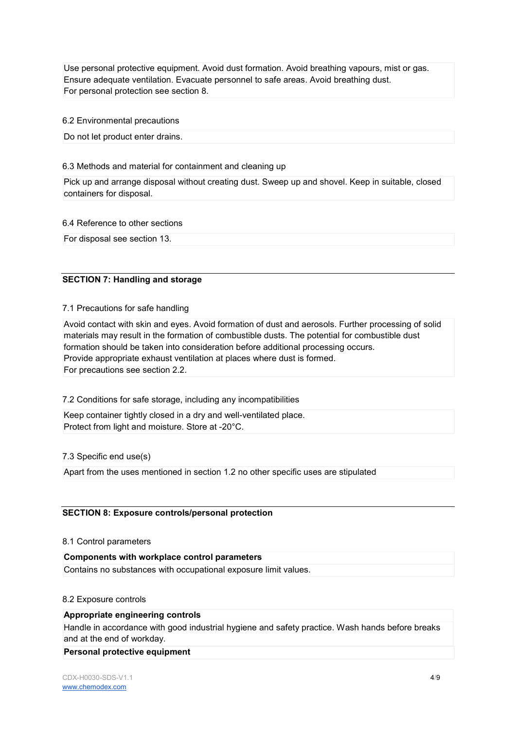Use personal protective equipment. Avoid dust formation. Avoid breathing vapours, mist or gas. Ensure adequate ventilation. Evacuate personnel to safe areas. Avoid breathing dust. For personal protection see section 8.

6.2 Environmental precautions

Do not let product enter drains.

#### 6.3 Methods and material for containment and cleaning up

Pick up and arrange disposal without creating dust. Sweep up and shovel. Keep in suitable, closed containers for disposal.

#### 6.4 Reference to other sections

For disposal see section 13.

# SECTION 7: Handling and storage

7.1 Precautions for safe handling

Avoid contact with skin and eyes. Avoid formation of dust and aerosols. Further processing of solid materials may result in the formation of combustible dusts. The potential for combustible dust formation should be taken into consideration before additional processing occurs. Provide appropriate exhaust ventilation at places where dust is formed. For precautions see section 2.2.

# 7.2 Conditions for safe storage, including any incompatibilities

Keep container tightly closed in a dry and well-ventilated place. Protect from light and moisture. Store at -20°C.

# 7.3 Specific end use(s)

Apart from the uses mentioned in section 1.2 no other specific uses are stipulated

# SECTION 8: Exposure controls/personal protection

#### 8.1 Control parameters

Components with workplace control parameters Contains no substances with occupational exposure limit values.

#### 8.2 Exposure controls

#### Appropriate engineering controls

Handle in accordance with good industrial hygiene and safety practice. Wash hands before breaks and at the end of workday.

#### Personal protective equipment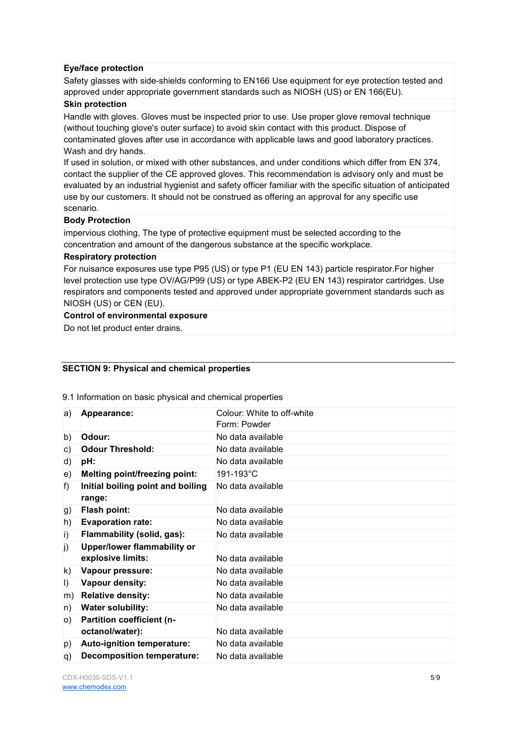#### Eye/face protection

Safety glasses with side-shields conforming to EN166 Use equipment for eye protection tested and approved under appropriate government standards such as NIOSH (US) or EN 166(EU).

### Skin protection

Handle with gloves. Gloves must be inspected prior to use. Use proper glove removal technique (without touching glove's outer surface) to avoid skin contact with this product. Dispose of contaminated gloves after use in accordance with applicable laws and good laboratory practices. Wash and dry hands.

If used in solution, or mixed with other substances, and under conditions which differ from EN 374, contact the supplier of the CE approved gloves. This recommendation is advisory only and must be evaluated by an industrial hygienist and safety officer familiar with the specific situation of anticipated use by our customers. It should not be construed as offering an approval for any specific use scenario.

#### Body Protection

impervious clothing, The type of protective equipment must be selected according to the concentration and amount of the dangerous substance at the specific workplace.

#### Respiratory protection

For nuisance exposures use type P95 (US) or type P1 (EU EN 143) particle respirator.For higher level protection use type OV/AG/P99 (US) or type ABEK-P2 (EU EN 143) respirator cartridges. Use respirators and components tested and approved under appropriate government standards such as NIOSH (US) or CEN (EU).

#### Control of environmental exposure

Do not let product enter drains.

# SECTION 9: Physical and chemical properties

9.1 Information on basic physical and chemical properties

| a)      | Appearance:                        | Colour: White to off-white |
|---------|------------------------------------|----------------------------|
|         |                                    | Form: Powder               |
| b)      | Odour:                             | No data available          |
| C)      | <b>Odour Threshold:</b>            | No data available          |
| d)      | pH:                                | No data available          |
| e)      | Melting point/freezing point:      | 191-193°C                  |
| f)      | Initial boiling point and boiling  | No data available          |
|         | range:                             |                            |
| g)      | <b>Flash point:</b>                | No data available          |
| h)      | <b>Evaporation rate:</b>           | No data available          |
| i)      | Flammability (solid, gas):         | No data available          |
| j)      | <b>Upper/lower flammability or</b> |                            |
|         | explosive limits:                  | No data available          |
| k)      | Vapour pressure:                   | No data available          |
| $\vert$ | Vapour density:                    | No data available          |
| m)      | <b>Relative density:</b>           | No data available          |
| n)      | <b>Water solubility:</b>           | No data available          |
| O()     | Partition coefficient (n-          |                            |
|         | octanol/water):                    | No data available          |
| p)      | Auto-ignition temperature:         | No data available          |
| q)      | <b>Decomposition temperature:</b>  | No data available          |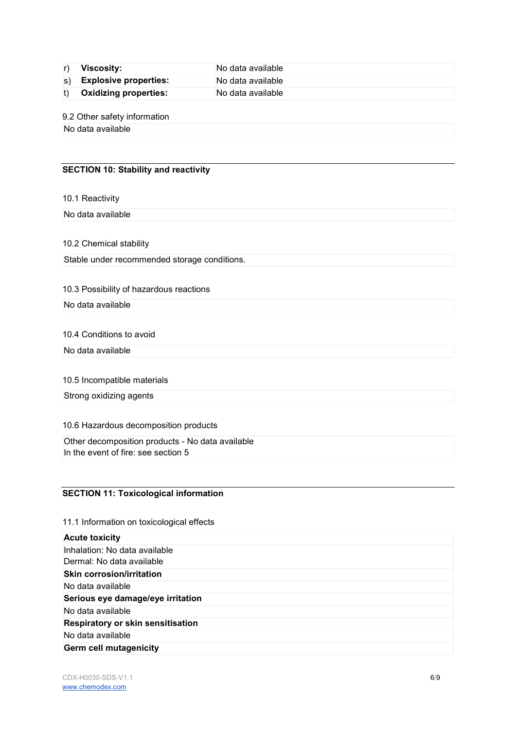r) Viscosity: No data available s) Explosive properties: No data available t) Oxidizing properties: No data available

9.2 Other safety information

No data available

# SECTION 10: Stability and reactivity

10.1 Reactivity

No data available

10.2 Chemical stability

Stable under recommended storage conditions.

#### 10.3 Possibility of hazardous reactions

No data available

10.4 Conditions to avoid

No data available

10.5 Incompatible materials

Strong oxidizing agents

10.6 Hazardous decomposition products

Other decomposition products - No data available In the event of fire: see section 5

# SECTION 11: Toxicological information

11.1 Information on toxicological effects

| <b>Acute toxicity</b>                    |  |
|------------------------------------------|--|
| Inhalation: No data available            |  |
| Dermal: No data available                |  |
| <b>Skin corrosion/irritation</b>         |  |
| No data available                        |  |
| Serious eye damage/eye irritation        |  |
| No data available                        |  |
| <b>Respiratory or skin sensitisation</b> |  |
| No data available                        |  |
| <b>Germ cell mutagenicity</b>            |  |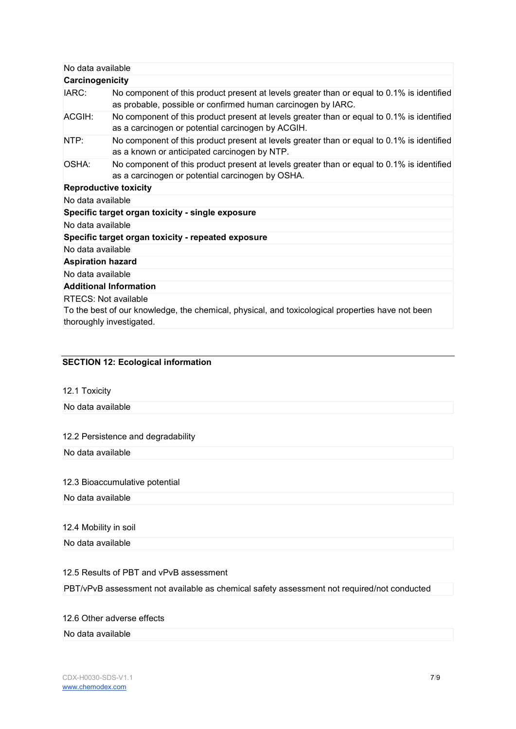| Carcinogenicity<br>No component of this product present at levels greater than or equal to 0.1% is identified<br>as probable, possible or confirmed human carcinogen by IARC.<br>No component of this product present at levels greater than or equal to 0.1% is identified<br>as a carcinogen or potential carcinogen by ACGIH.<br>No component of this product present at levels greater than or equal to 0.1% is identified<br>as a known or anticipated carcinogen by NTP.<br>No component of this product present at levels greater than or equal to 0.1% is identified<br>as a carcinogen or potential carcinogen by OSHA.<br><b>Reproductive toxicity</b><br>Specific target organ toxicity - single exposure<br>No data available<br>Specific target organ toxicity - repeated exposure | No data available |  |  |  |  |
|-------------------------------------------------------------------------------------------------------------------------------------------------------------------------------------------------------------------------------------------------------------------------------------------------------------------------------------------------------------------------------------------------------------------------------------------------------------------------------------------------------------------------------------------------------------------------------------------------------------------------------------------------------------------------------------------------------------------------------------------------------------------------------------------------|-------------------|--|--|--|--|
|                                                                                                                                                                                                                                                                                                                                                                                                                                                                                                                                                                                                                                                                                                                                                                                                 |                   |  |  |  |  |
|                                                                                                                                                                                                                                                                                                                                                                                                                                                                                                                                                                                                                                                                                                                                                                                                 | IARC:             |  |  |  |  |
|                                                                                                                                                                                                                                                                                                                                                                                                                                                                                                                                                                                                                                                                                                                                                                                                 | ACGIH:            |  |  |  |  |
|                                                                                                                                                                                                                                                                                                                                                                                                                                                                                                                                                                                                                                                                                                                                                                                                 | NTP:              |  |  |  |  |
|                                                                                                                                                                                                                                                                                                                                                                                                                                                                                                                                                                                                                                                                                                                                                                                                 | OSHA:             |  |  |  |  |
|                                                                                                                                                                                                                                                                                                                                                                                                                                                                                                                                                                                                                                                                                                                                                                                                 |                   |  |  |  |  |
|                                                                                                                                                                                                                                                                                                                                                                                                                                                                                                                                                                                                                                                                                                                                                                                                 | No data available |  |  |  |  |
|                                                                                                                                                                                                                                                                                                                                                                                                                                                                                                                                                                                                                                                                                                                                                                                                 |                   |  |  |  |  |
|                                                                                                                                                                                                                                                                                                                                                                                                                                                                                                                                                                                                                                                                                                                                                                                                 |                   |  |  |  |  |
|                                                                                                                                                                                                                                                                                                                                                                                                                                                                                                                                                                                                                                                                                                                                                                                                 |                   |  |  |  |  |
| No data available                                                                                                                                                                                                                                                                                                                                                                                                                                                                                                                                                                                                                                                                                                                                                                               |                   |  |  |  |  |
| <b>Aspiration hazard</b>                                                                                                                                                                                                                                                                                                                                                                                                                                                                                                                                                                                                                                                                                                                                                                        |                   |  |  |  |  |
| No data available                                                                                                                                                                                                                                                                                                                                                                                                                                                                                                                                                                                                                                                                                                                                                                               |                   |  |  |  |  |
| <b>Additional Information</b>                                                                                                                                                                                                                                                                                                                                                                                                                                                                                                                                                                                                                                                                                                                                                                   |                   |  |  |  |  |
| RTECS: Not available                                                                                                                                                                                                                                                                                                                                                                                                                                                                                                                                                                                                                                                                                                                                                                            |                   |  |  |  |  |
| To the best of our knowledge, the chemical, physical, and toxicological properties have not been                                                                                                                                                                                                                                                                                                                                                                                                                                                                                                                                                                                                                                                                                                |                   |  |  |  |  |
| thoroughly investigated.                                                                                                                                                                                                                                                                                                                                                                                                                                                                                                                                                                                                                                                                                                                                                                        |                   |  |  |  |  |

# SECTION 12: Ecological information

12.1 Toxicity

No data available

# 12.2 Persistence and degradability

No data available

#### 12.3 Bioaccumulative potential

No data available

#### 12.4 Mobility in soil

No data available

#### 12.5 Results of PBT and vPvB assessment

PBT/vPvB assessment not available as chemical safety assessment not required/not conducted

#### 12.6 Other adverse effects

#### No data available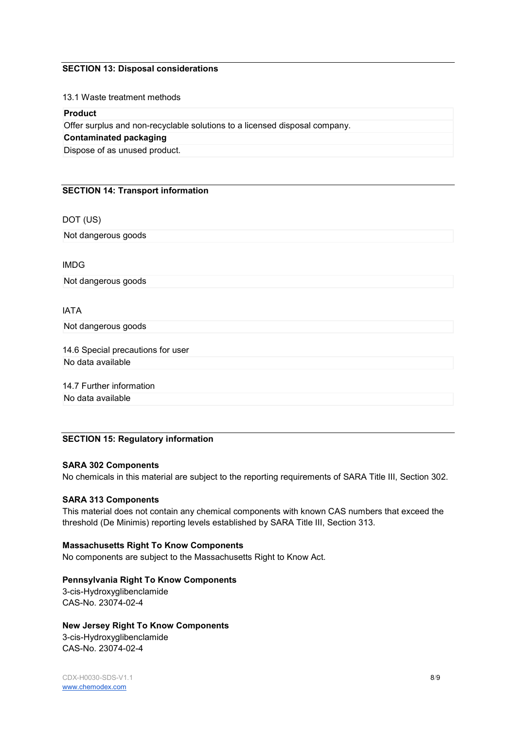#### SECTION 13: Disposal considerations

13.1 Waste treatment methods

#### Product

Offer surplus and non-recyclable solutions to a licensed disposal company.

# Contaminated packaging

Dispose of as unused product.

#### SECTION 14: Transport information

DOT (US)

Not dangerous goods

IMDG

Not dangerous goods

#### IATA

Not dangerous goods

14.6 Special precautions for user No data available

14.7 Further information

No data available

# SECTION 15: Regulatory information

#### SARA 302 Components

No chemicals in this material are subject to the reporting requirements of SARA Title III, Section 302.

#### SARA 313 Components

This material does not contain any chemical components with known CAS numbers that exceed the threshold (De Minimis) reporting levels established by SARA Title III, Section 313.

#### Massachusetts Right To Know Components

No components are subject to the Massachusetts Right to Know Act.

# Pennsylvania Right To Know Components

3-cis-Hydroxyglibenclamide CAS-No. 23074-02-4

# New Jersey Right To Know Components

3-cis-Hydroxyglibenclamide CAS-No. 23074-02-4